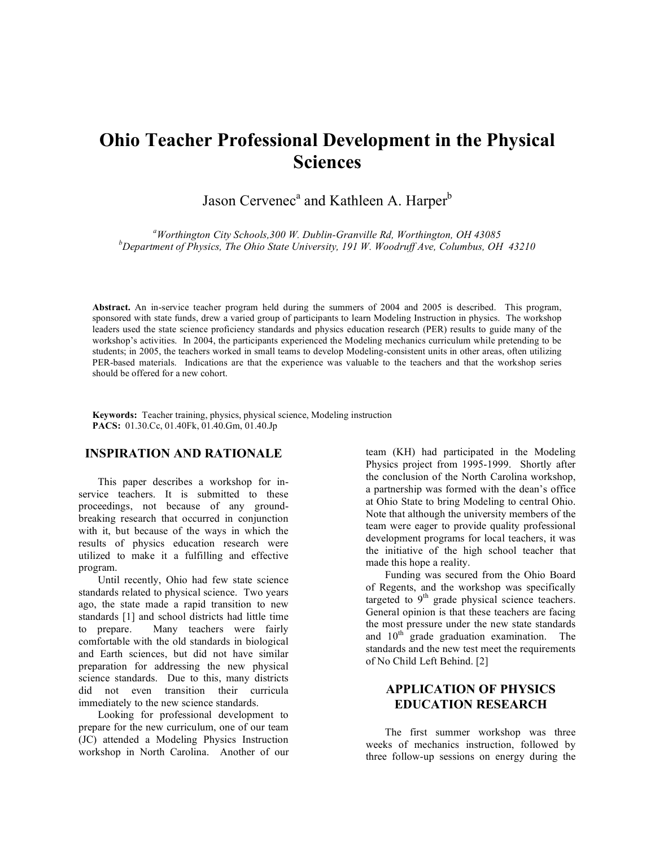# **Ohio Teacher Professional Development in the Physical Sciences**

Jason Cervenec<sup>a</sup> and Kathleen A. Harper<sup>b</sup>

*a Worthington City Schools,300 W. Dublin-Granville Rd, Worthington, OH 43085 b Department of Physics, The Ohio State University, 191 W. Woodruff Ave, Columbus, OH 43210*

**Abstract.** An in-service teacher program held during the summers of 2004 and 2005 is described. This program, sponsored with state funds, drew a varied group of participants to learn Modeling Instruction in physics. The workshop leaders used the state science proficiency standards and physics education research (PER) results to guide many of the workshop's activities. In 2004, the participants experienced the Modeling mechanics curriculum while pretending to be students; in 2005, the teachers worked in small teams to develop Modeling-consistent units in other areas, often utilizing PER-based materials. Indications are that the experience was valuable to the teachers and that the workshop series should be offered for a new cohort.

**Keywords:** Teacher training, physics, physical science, Modeling instruction **PACS:** 01.30.Cc, 01.40Fk, 01.40.Gm, 01.40.Jp

#### **INSPIRATION AND RATIONALE**

This paper describes a workshop for inservice teachers. It is submitted to these proceedings, not because of any groundbreaking research that occurred in conjunction with it, but because of the ways in which the results of physics education research were utilized to make it a fulfilling and effective program.

Until recently, Ohio had few state science standards related to physical science. Two years ago, the state made a rapid transition to new standards [1] and school districts had little time to prepare. Many teachers were fairly comfortable with the old standards in biological and Earth sciences, but did not have similar preparation for addressing the new physical science standards. Due to this, many districts did not even transition their curricula immediately to the new science standards.

Looking for professional development to prepare for the new curriculum, one of our team (JC) attended a Modeling Physics Instruction workshop in North Carolina. Another of our team (KH) had participated in the Modeling Physics project from 1995-1999. Shortly after the conclusion of the North Carolina workshop, a partnership was formed with the dean's office at Ohio State to bring Modeling to central Ohio. Note that although the university members of the team were eager to provide quality professional development programs for local teachers, it was the initiative of the high school teacher that made this hope a reality.

Funding was secured from the Ohio Board of Regents, and the workshop was specifically targeted to  $9<sup>th</sup>$  grade physical science teachers. General opinion is that these teachers are facing the most pressure under the new state standards and  $10^{th}$  grade graduation examination. The standards and the new test meet the requirements of No Child Left Behind. [2]

## **APPLICATION OF PHYSICS EDUCATION RESEARCH**

The first summer workshop was three weeks of mechanics instruction, followed by three follow-up sessions on energy during the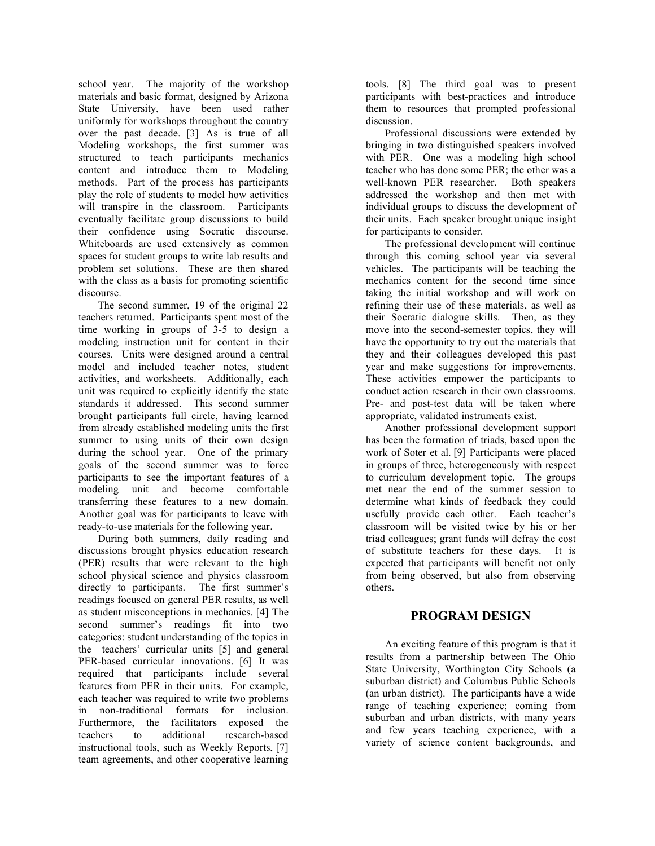school year. The majority of the workshop materials and basic format, designed by Arizona State University, have been used rather uniformly for workshops throughout the country over the past decade. [3] As is true of all Modeling workshops, the first summer was structured to teach participants mechanics content and introduce them to Modeling methods. Part of the process has participants play the role of students to model how activities will transpire in the classroom. Participants eventually facilitate group discussions to build their confidence using Socratic discourse. Whiteboards are used extensively as common spaces for student groups to write lab results and problem set solutions. These are then shared with the class as a basis for promoting scientific discourse.

The second summer, 19 of the original 22 teachers returned. Participants spent most of the time working in groups of 3-5 to design a modeling instruction unit for content in their courses. Units were designed around a central model and included teacher notes, student activities, and worksheets. Additionally, each unit was required to explicitly identify the state standards it addressed. This second summer brought participants full circle, having learned from already established modeling units the first summer to using units of their own design during the school year. One of the primary goals of the second summer was to force participants to see the important features of a modeling unit and become comfortable transferring these features to a new domain. Another goal was for participants to leave with ready-to-use materials for the following year.

During both summers, daily reading and discussions brought physics education research (PER) results that were relevant to the high school physical science and physics classroom directly to participants. The first summer's readings focused on general PER results, as well as student misconceptions in mechanics. [4] The second summer's readings fit into two categories: student understanding of the topics in the teachers' curricular units [5] and general PER-based curricular innovations. [6] It was required that participants include several features from PER in their units. For example, each teacher was required to write two problems in non-traditional formats for inclusion. Furthermore, the facilitators exposed the teachers to additional research-based instructional tools, such as Weekly Reports, [7] team agreements, and other cooperative learning

tools. [8] The third goal was to present participants with best-practices and introduce them to resources that prompted professional discussion.

Professional discussions were extended by bringing in two distinguished speakers involved with PER. One was a modeling high school teacher who has done some PER; the other was a well-known PER researcher. Both speakers addressed the workshop and then met with individual groups to discuss the development of their units. Each speaker brought unique insight for participants to consider.

The professional development will continue through this coming school year via several vehicles. The participants will be teaching the mechanics content for the second time since taking the initial workshop and will work on refining their use of these materials, as well as their Socratic dialogue skills. Then, as they move into the second-semester topics, they will have the opportunity to try out the materials that they and their colleagues developed this past year and make suggestions for improvements. These activities empower the participants to conduct action research in their own classrooms. Pre- and post-test data will be taken where appropriate, validated instruments exist.

Another professional development support has been the formation of triads, based upon the work of Soter et al. [9] Participants were placed in groups of three, heterogeneously with respect to curriculum development topic. The groups met near the end of the summer session to determine what kinds of feedback they could usefully provide each other. Each teacher's classroom will be visited twice by his or her triad colleagues; grant funds will defray the cost of substitute teachers for these days. It is expected that participants will benefit not only from being observed, but also from observing others.

#### **PROGRAM DESIGN**

An exciting feature of this program is that it results from a partnership between The Ohio State University, Worthington City Schools (a suburban district) and Columbus Public Schools (an urban district). The participants have a wide range of teaching experience; coming from suburban and urban districts, with many years and few years teaching experience, with a variety of science content backgrounds, and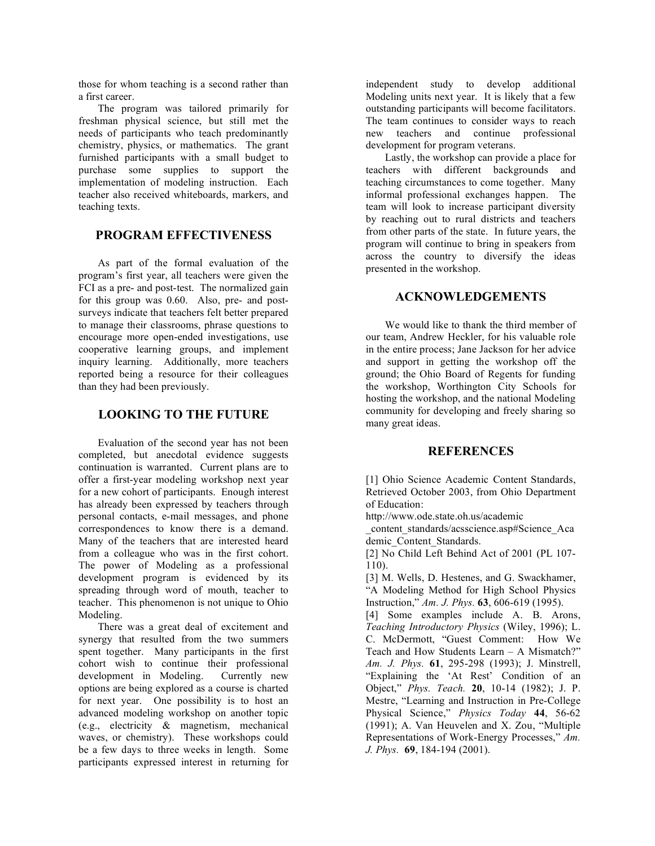those for whom teaching is a second rather than a first career.

The program was tailored primarily for freshman physical science, but still met the needs of participants who teach predominantly chemistry, physics, or mathematics. The grant furnished participants with a small budget to purchase some supplies to support the implementation of modeling instruction. Each teacher also received whiteboards, markers, and teaching texts.

## **PROGRAM EFFECTIVENESS**

As part of the formal evaluation of the program's first year, all teachers were given the FCI as a pre- and post-test. The normalized gain for this group was 0.60. Also, pre- and postsurveys indicate that teachers felt better prepared to manage their classrooms, phrase questions to encourage more open-ended investigations, use cooperative learning groups, and implement inquiry learning. Additionally, more teachers reported being a resource for their colleagues than they had been previously.

## **LOOKING TO THE FUTURE**

Evaluation of the second year has not been completed, but anecdotal evidence suggests continuation is warranted. Current plans are to offer a first-year modeling workshop next year for a new cohort of participants. Enough interest has already been expressed by teachers through personal contacts, e-mail messages, and phone correspondences to know there is a demand. Many of the teachers that are interested heard from a colleague who was in the first cohort. The power of Modeling as a professional development program is evidenced by its spreading through word of mouth, teacher to teacher. This phenomenon is not unique to Ohio Modeling.

There was a great deal of excitement and synergy that resulted from the two summers spent together. Many participants in the first cohort wish to continue their professional development in Modeling. Currently new options are being explored as a course is charted for next year. One possibility is to host an advanced modeling workshop on another topic (e.g., electricity & magnetism, mechanical waves, or chemistry). These workshops could be a few days to three weeks in length. Some participants expressed interest in returning for

independent study to develop additional Modeling units next year. It is likely that a few outstanding participants will become facilitators. The team continues to consider ways to reach new teachers and continue professional development for program veterans.

Lastly, the workshop can provide a place for teachers with different backgrounds and teaching circumstances to come together. Many informal professional exchanges happen. The team will look to increase participant diversity by reaching out to rural districts and teachers from other parts of the state. In future years, the program will continue to bring in speakers from across the country to diversify the ideas presented in the workshop.

## **ACKNOWLEDGEMENTS**

We would like to thank the third member of our team, Andrew Heckler, for his valuable role in the entire process; Jane Jackson for her advice and support in getting the workshop off the ground; the Ohio Board of Regents for funding the workshop, Worthington City Schools for hosting the workshop, and the national Modeling community for developing and freely sharing so many great ideas.

#### **REFERENCES**

[1] Ohio Science Academic Content Standards, Retrieved October 2003, from Ohio Department of Education:

http://www.ode.state.oh.us/academic

\_content\_standards/acsscience.asp#Science\_Aca demic Content Standards.

[2] No Child Left Behind Act of 2001 (PL 107- 110).

[3] M. Wells, D. Hestenes, and G. Swackhamer, "A Modeling Method for High School Physics Instruction," *Am. J. Phys.* **63**, 606-619 (1995).

[4] Some examples include A. B. Arons, *Teaching Introductory Physics* (Wiley, 1996); L. C. McDermott, "Guest Comment: How We Teach and How Students Learn – A Mismatch?" *Am. J. Phys.* **61**, 295-298 (1993); J. Minstrell, "Explaining the 'At Rest' Condition of an Object," *Phys. Teach.* **20**, 10-14 (1982); J. P. Mestre, "Learning and Instruction in Pre-College Physical Science," *Physics Today* **44**, 56-62 (1991); A. Van Heuvelen and X. Zou, "Multiple Representations of Work-Energy Processes," *Am. J. Phys.* **69**, 184-194 (2001).